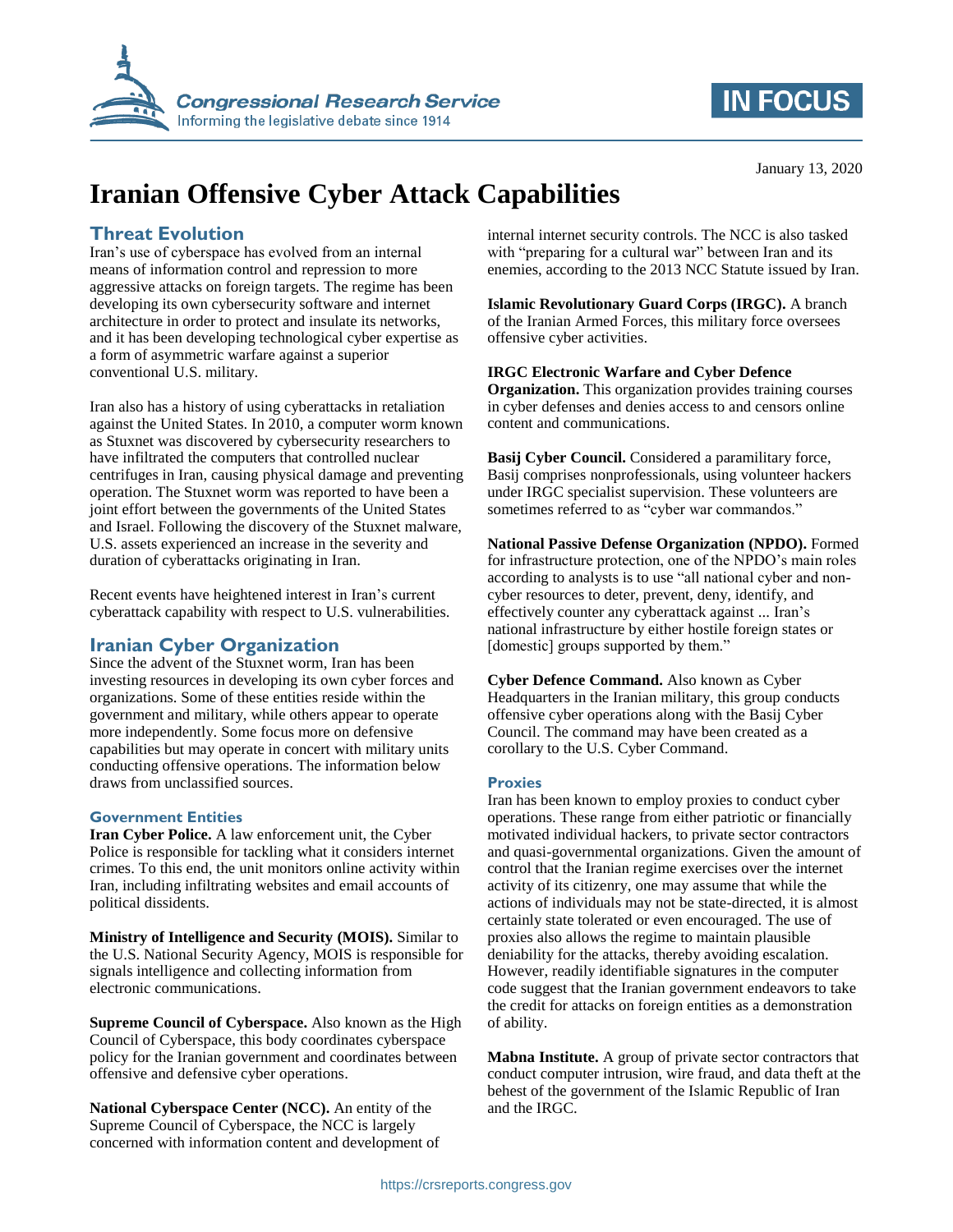

# **IN FOCUS**

# **Iranian Offensive Cyber Attack Capabilities**

### **Threat Evolution**

Iran's use of cyberspace has evolved from an internal means of information control and repression to more aggressive attacks on foreign targets. The regime has been developing its own cybersecurity software and internet architecture in order to protect and insulate its networks, and it has been developing technological cyber expertise as a form of asymmetric warfare against a superior conventional U.S. military.

Iran also has a history of using cyberattacks in retaliation against the United States. In 2010, a computer worm known as Stuxnet was discovered by cybersecurity researchers to have infiltrated the computers that controlled nuclear centrifuges in Iran, causing physical damage and preventing operation. The Stuxnet worm was reported to have been a joint effort between the governments of the United States and Israel. Following the discovery of the Stuxnet malware, U.S. assets experienced an increase in the severity and duration of cyberattacks originating in Iran.

Recent events have heightened interest in Iran's current cyberattack capability with respect to U.S. vulnerabilities.

### **Iranian Cyber Organization**

Since the advent of the Stuxnet worm, Iran has been investing resources in developing its own cyber forces and organizations. Some of these entities reside within the government and military, while others appear to operate more independently. Some focus more on defensive capabilities but may operate in concert with military units conducting offensive operations. The information below draws from unclassified sources.

#### **Government Entities**

**Iran Cyber Police.** A law enforcement unit, the Cyber Police is responsible for tackling what it considers internet crimes. To this end, the unit monitors online activity within Iran, including infiltrating websites and email accounts of political dissidents.

**Ministry of Intelligence and Security (MOIS).** Similar to the U.S. National Security Agency, MOIS is responsible for signals intelligence and collecting information from electronic communications.

**Supreme Council of Cyberspace.** Also known as the High Council of Cyberspace, this body coordinates cyberspace policy for the Iranian government and coordinates between offensive and defensive cyber operations.

**National Cyberspace Center (NCC).** An entity of the Supreme Council of Cyberspace, the NCC is largely concerned with information content and development of internal internet security controls. The NCC is also tasked with "preparing for a cultural war" between Iran and its enemies, according to the 2013 NCC Statute issued by Iran.

**Islamic Revolutionary Guard Corps (IRGC).** A branch of the Iranian Armed Forces, this military force oversees offensive cyber activities.

#### **IRGC Electronic Warfare and Cyber Defence**

**Organization.** This organization provides training courses in cyber defenses and denies access to and censors online content and communications.

**Basij Cyber Council.** Considered a paramilitary force, Basij comprises nonprofessionals, using volunteer hackers under IRGC specialist supervision. These volunteers are sometimes referred to as "cyber war commandos."

**National Passive Defense Organization (NPDO).** Formed for infrastructure protection, one of the NPDO's main roles according to analysts is to use "all national cyber and noncyber resources to deter, prevent, deny, identify, and effectively counter any cyberattack against ... Iran's national infrastructure by either hostile foreign states or [domestic] groups supported by them."

**Cyber Defence Command.** Also known as Cyber Headquarters in the Iranian military, this group conducts offensive cyber operations along with the Basij Cyber Council. The command may have been created as a corollary to the U.S. Cyber Command.

#### **Proxies**

Iran has been known to employ proxies to conduct cyber operations. These range from either patriotic or financially motivated individual hackers, to private sector contractors and quasi-governmental organizations. Given the amount of control that the Iranian regime exercises over the internet activity of its citizenry, one may assume that while the actions of individuals may not be state-directed, it is almost certainly state tolerated or even encouraged. The use of proxies also allows the regime to maintain plausible deniability for the attacks, thereby avoiding escalation. However, readily identifiable signatures in the computer code suggest that the Iranian government endeavors to take the credit for attacks on foreign entities as a demonstration of ability.

**Mabna Institute.** A group of private sector contractors that conduct computer intrusion, wire fraud, and data theft at the behest of the government of the Islamic Republic of Iran and the IRGC.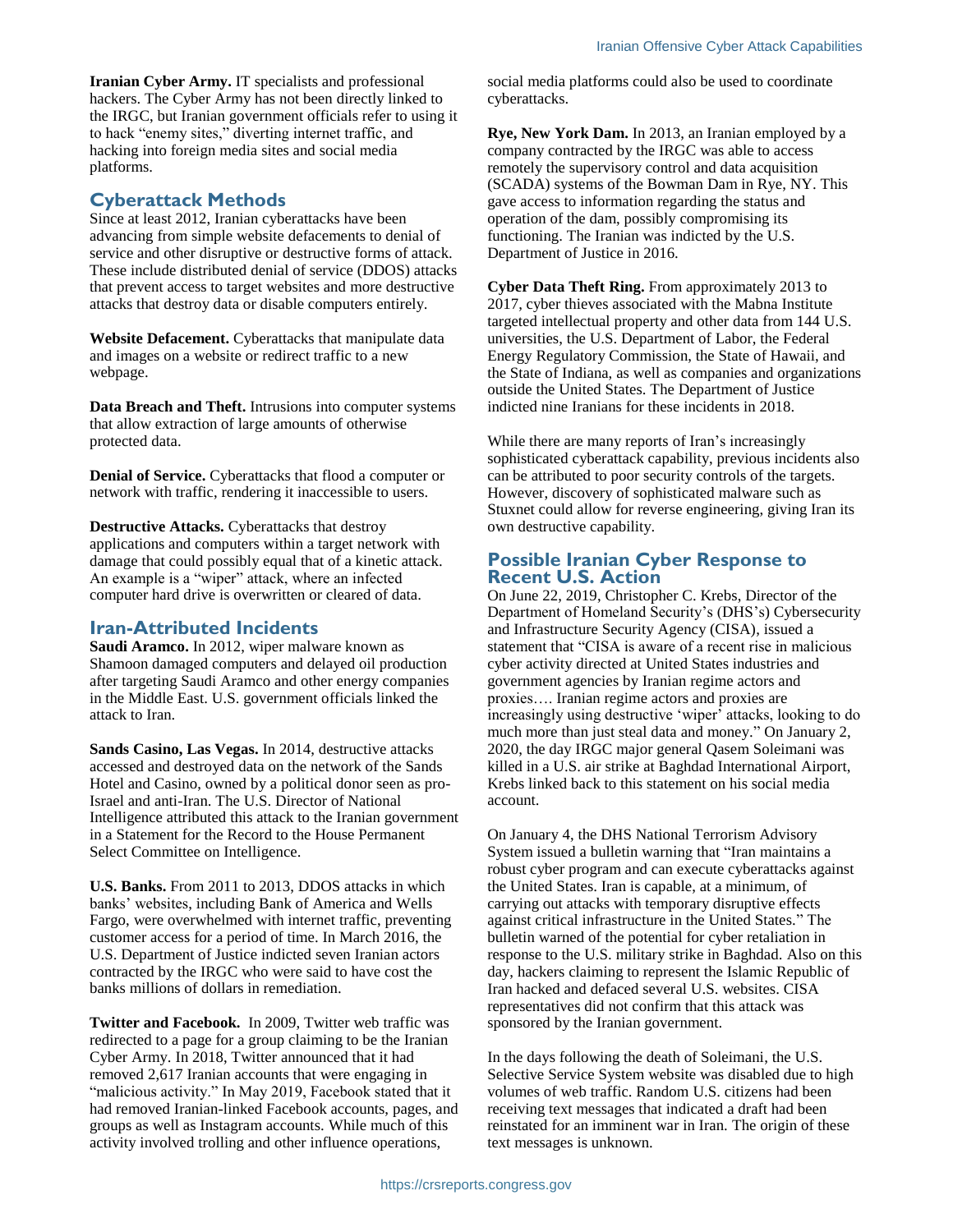**Iranian Cyber Army.** IT specialists and professional hackers. The Cyber Army has not been directly linked to the IRGC, but Iranian government officials refer to using it to hack "enemy sites," diverting internet traffic, and hacking into foreign media sites and social media platforms.

#### **Cyberattack Methods**

Since at least 2012, Iranian cyberattacks have been advancing from simple website defacements to denial of service and other disruptive or destructive forms of attack. These include distributed denial of service (DDOS) attacks that prevent access to target websites and more destructive attacks that destroy data or disable computers entirely.

**Website Defacement.** Cyberattacks that manipulate data and images on a website or redirect traffic to a new webpage.

**Data Breach and Theft.** Intrusions into computer systems that allow extraction of large amounts of otherwise protected data.

**Denial of Service.** Cyberattacks that flood a computer or network with traffic, rendering it inaccessible to users.

**Destructive Attacks.** Cyberattacks that destroy applications and computers within a target network with damage that could possibly equal that of a kinetic attack. An example is a "wiper" attack, where an infected computer hard drive is overwritten or cleared of data.

#### **Iran-Attributed Incidents**

**Saudi Aramco.** In 2012, wiper malware known as Shamoon damaged computers and delayed oil production after targeting Saudi Aramco and other energy companies in the Middle East. U.S. government officials linked the attack to Iran.

**Sands Casino, Las Vegas.** In 2014, destructive attacks accessed and destroyed data on the network of the Sands Hotel and Casino, owned by a political donor seen as pro-Israel and anti-Iran. The U.S. Director of National Intelligence attributed this attack to the Iranian government in a Statement for the Record to the House Permanent Select Committee on Intelligence.

**U.S. Banks.** From 2011 to 2013, DDOS attacks in which banks' websites, including Bank of America and Wells Fargo, were overwhelmed with internet traffic, preventing customer access for a period of time. In March 2016, the U.S. Department of Justice indicted seven Iranian actors contracted by the IRGC who were said to have cost the banks millions of dollars in remediation.

**Twitter and Facebook.** In 2009, Twitter web traffic was redirected to a page for a group claiming to be the Iranian Cyber Army. In 2018, Twitter announced that it had removed 2,617 Iranian accounts that were engaging in "malicious activity." In May 2019, Facebook stated that it had removed Iranian-linked Facebook accounts, pages, and groups as well as Instagram accounts. While much of this activity involved trolling and other influence operations,

social media platforms could also be used to coordinate cyberattacks.

**Rye, New York Dam.** In 2013, an Iranian employed by a company contracted by the IRGC was able to access remotely the supervisory control and data acquisition (SCADA) systems of the Bowman Dam in Rye, NY. This gave access to information regarding the status and operation of the dam, possibly compromising its functioning. The Iranian was indicted by the U.S. Department of Justice in 2016.

**Cyber Data Theft Ring.** From approximately 2013 to 2017, cyber thieves associated with the Mabna Institute targeted intellectual property and other data from 144 U.S. universities, the U.S. Department of Labor, the Federal Energy Regulatory Commission, the State of Hawaii, and the State of Indiana, as well as companies and organizations outside the United States. The Department of Justice indicted nine Iranians for these incidents in 2018.

While there are many reports of Iran's increasingly sophisticated cyberattack capability, previous incidents also can be attributed to poor security controls of the targets. However, discovery of sophisticated malware such as Stuxnet could allow for reverse engineering, giving Iran its own destructive capability.

#### **Possible Iranian Cyber Response to Recent U.S. Action**

On June 22, 2019, Christopher C. Krebs, Director of the Department of Homeland Security's (DHS's) Cybersecurity and Infrastructure Security Agency (CISA), issued a statement that "CISA is aware of a recent rise in malicious cyber activity directed at United States industries and government agencies by Iranian regime actors and proxies…. Iranian regime actors and proxies are increasingly using destructive 'wiper' attacks, looking to do much more than just steal data and money." On January 2, 2020, the day IRGC major general Qasem Soleimani was killed in a U.S. air strike at Baghdad International Airport, Krebs linked back to this statement on his social media account.

On January 4, the DHS National Terrorism Advisory System issued a bulletin warning that "Iran maintains a robust cyber program and can execute cyberattacks against the United States. Iran is capable, at a minimum, of carrying out attacks with temporary disruptive effects against critical infrastructure in the United States." The bulletin warned of the potential for cyber retaliation in response to the U.S. military strike in Baghdad. Also on this day, hackers claiming to represent the Islamic Republic of Iran hacked and defaced several U.S. websites. CISA representatives did not confirm that this attack was sponsored by the Iranian government.

In the days following the death of Soleimani, the U.S. Selective Service System website was disabled due to high volumes of web traffic. Random U.S. citizens had been receiving text messages that indicated a draft had been reinstated for an imminent war in Iran. The origin of these text messages is unknown.